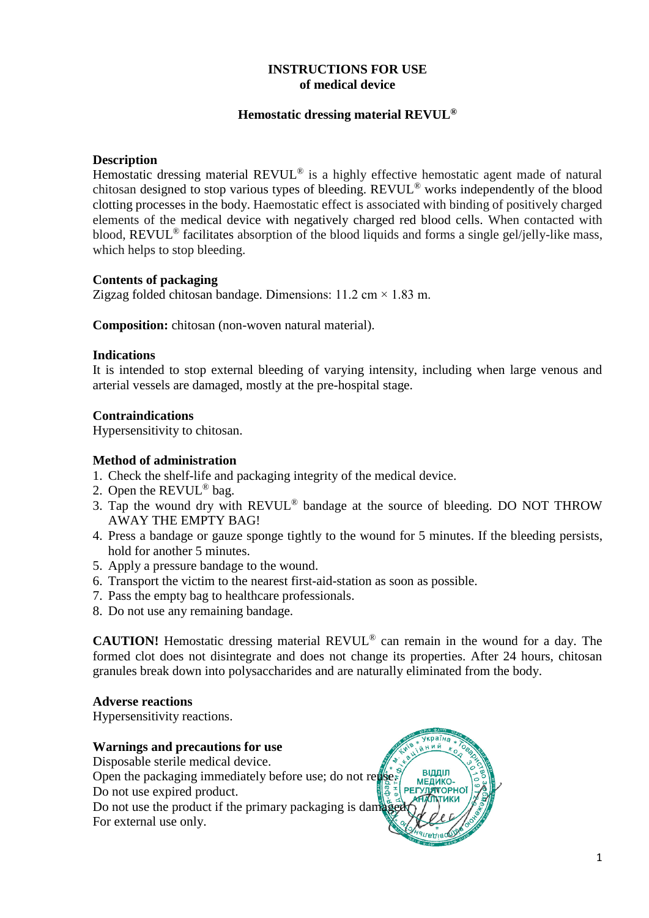# **INSTRUCTIONS FOR USE of medical device**

## **Hemostatic dressing material REVUL®**

### **Description**

Hemostatic dressing material REVUL<sup>®</sup> is a highly effective hemostatic agent made of natural chitosan designed to stop various types of bleeding. REVUL® works independently of the blood clotting processes in the body. Haemostatic effect is associated with binding of positively charged elements of the medical device with negatively charged red blood cells. When contacted with blood,  $REVUL^{\circledR}$  facilitates absorption of the blood liquids and forms a single gel/jelly-like mass, which helps to stop bleeding.

### **Contents of packaging**

Zigzag folded chitosan bandage. Dimensions:  $11.2 \text{ cm} \times 1.83 \text{ m}$ .

**Composition:** chitosan (non-woven natural material).

#### **Indications**

It is intended to stop external bleeding of varying intensity, including when large venous and arterial vessels are damaged, mostly at the pre-hospital stage.

#### **Contraindications**

Hypersensitivity to chitosan.

#### **Method of administration**

- 1. Check the shelf-life and packaging integrity of the medical device.
- 2. Open the REVUL<sup>®</sup> bag.
- 3. Tap the wound dry with REVUL® bandage at the source of bleeding. DO NOT THROW AWAY THE EMPTY BAG!
- 4. Press a bandage or gauze sponge tightly to the wound for 5 minutes. If the bleeding persists, hold for another 5 minutes.
- 5. Apply a pressure bandage to the wound.
- 6. Transport the victim to the nearest first-aid-station as soon as possible.
- 7. Pass the empty bag to healthcare professionals.
- 8. Do not use any remaining bandage.

**CAUTION!** Hemostatic dressing material REVUL® can remain in the wound for a day. The formed clot does not disintegrate and does not change its properties. After 24 hours, chitosan granules break down into polysaccharides and are naturally eliminated from the body.

#### **Adverse reactions**

Hypersensitivity reactions.

## **Warnings and precautions for use**

Disposable sterile medical device. Open the packaging immediately before use; do not reuse. Do not use expired product.

Do not use the product if the primary packaging is damaged. For external use only.